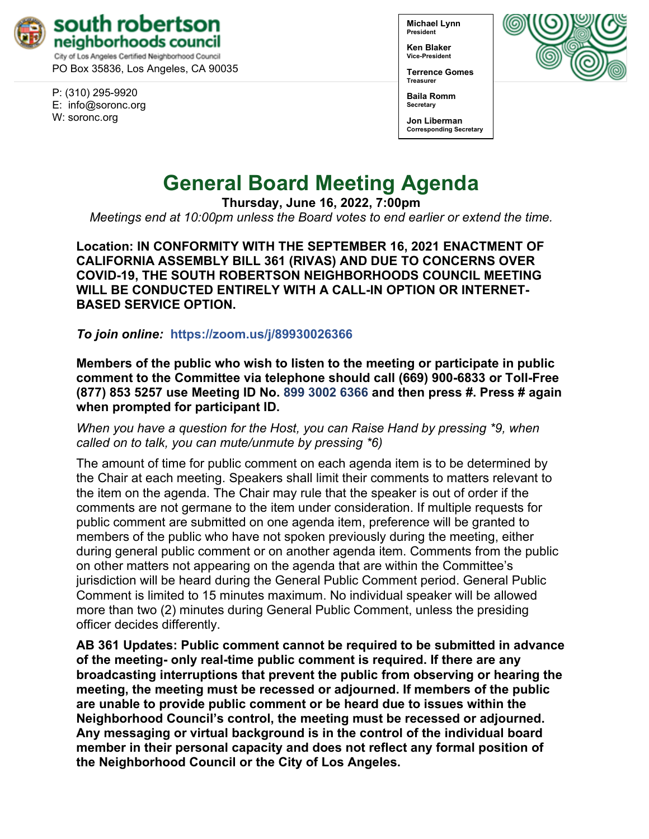

PO Box 35836, Los Angeles, CA 90035

P: (310) 295-9920 E: [info@soronc.org](mailto:info@soronc.org) W: soronc.org

**Michael Lynn President**

**Ken Blaker Vice-President**

**Terrence Gomes Treasurer**



**Baila Romm Secretary**

**Jon Liberman Corresponding Secretary**

# **General Board Meeting Agenda**

**Thursday, June 16, 2022, 7:00pm**

*Meetings end at 10:00pm unless the Board votes to end earlier or extend the time.*

**Location: IN CONFORMITY WITH THE SEPTEMBER 16, 2021 ENACTMENT OF CALIFORNIA ASSEMBLY BILL 361 (RIVAS) AND DUE TO CONCERNS OVER COVID-19, THE SOUTH ROBERTSON NEIGHBORHOODS COUNCIL MEETING WILL BE CONDUCTED ENTIRELY WITH A CALL-IN OPTION OR INTERNET-BASED SERVICE OPTION.**

*To join online:* **<https://zoom.us/j/89930026366>**

**Members of the public who wish to listen to the meeting or participate in public comment to the Committee via telephone should call (669) 900-6833 or Toll-Free (877) 853 5257 use Meeting ID No. 899 3002 6366 and then press #. Press # again when prompted for participant ID.** 

*When you have a question for the Host, you can Raise Hand by pressing \*9, when called on to talk, you can mute/unmute by pressing \*6)* 

The amount of time for public comment on each agenda item is to be determined by the Chair at each meeting. Speakers shall limit their comments to matters relevant to the item on the agenda. The Chair may rule that the speaker is out of order if the comments are not germane to the item under consideration. If multiple requests for public comment are submitted on one agenda item, preference will be granted to members of the public who have not spoken previously during the meeting, either during general public comment or on another agenda item. Comments from the public on other matters not appearing on the agenda that are within the Committee's jurisdiction will be heard during the General Public Comment period. General Public Comment is limited to 15 minutes maximum. No individual speaker will be allowed more than two (2) minutes during General Public Comment, unless the presiding officer decides differently.

**AB 361 Updates: Public comment cannot be required to be submitted in advance of the meeting- only real-time public comment is required. If there are any broadcasting interruptions that prevent the public from observing or hearing the meeting, the meeting must be recessed or adjourned. If members of the public are unable to provide public comment or be heard due to issues within the Neighborhood Council's control, the meeting must be recessed or adjourned. Any messaging or virtual background is in the control of the individual board member in their personal capacity and does not reflect any formal position of the Neighborhood Council or the City of Los Angeles.**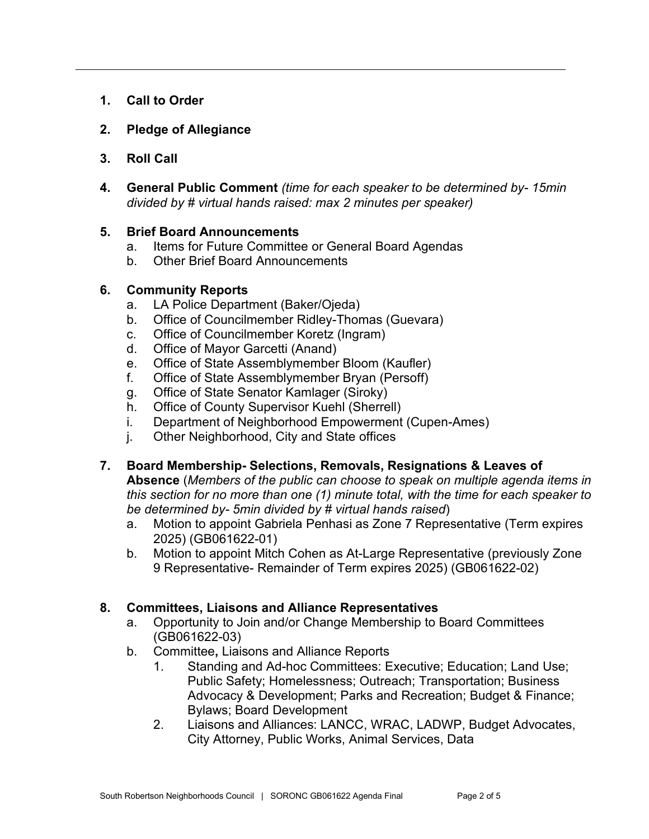- **1. Call to Order**
- **2. Pledge of Allegiance**
- **3. Roll Call**
- **4. General Public Comment** *(time for each speaker to be determined by- 15min divided by # virtual hands raised: max 2 minutes per speaker)*

## **5. Brief Board Announcements**

- a. Items for Future Committee or General Board Agendas
- b. Other Brief Board Announcements

## **6. Community Reports**

- a. LA Police Department (Baker/Ojeda)
- b. Office of Councilmember Ridley-Thomas (Guevara)
- c. Office of Councilmember Koretz (Ingram)
- d. Office of Mayor Garcetti (Anand)
- e. Office of State Assemblymember Bloom (Kaufler)
- f. Office of State Assemblymember Bryan (Persoff)
- g. Office of State Senator Kamlager (Siroky)
- h. Office of County Supervisor Kuehl (Sherrell)
- i. Department of Neighborhood Empowerment (Cupen-Ames)
- j. Other Neighborhood, City and State offices
- **7. Board Membership- Selections, Removals, Resignations & Leaves of Absence** (*Members of the public can choose to speak on multiple agenda items in this section for no more than one (1) minute total, with the time for each speaker to be determined by- 5min divided by # virtual hands raised*)
	- a. Motion to appoint Gabriela Penhasi as Zone 7 Representative (Term expires 2025) (GB061622-01)
	- b. Motion to appoint Mitch Cohen as At-Large Representative (previously Zone 9 Representative- Remainder of Term expires 2025) (GB061622-02)

## **8. Committees, Liaisons and Alliance Representatives**

- a. Opportunity to Join and/or Change Membership to Board Committees (GB061622-03)
- b. Committee**,** Liaisons and Alliance Reports
	- 1. Standing and Ad-hoc Committees: Executive; Education; Land Use; Public Safety; Homelessness; Outreach; Transportation; Business Advocacy & Development; Parks and Recreation; Budget & Finance; Bylaws; Board Development
	- 2. Liaisons and Alliances: LANCC, WRAC, LADWP, Budget Advocates, City Attorney, Public Works, Animal Services, Data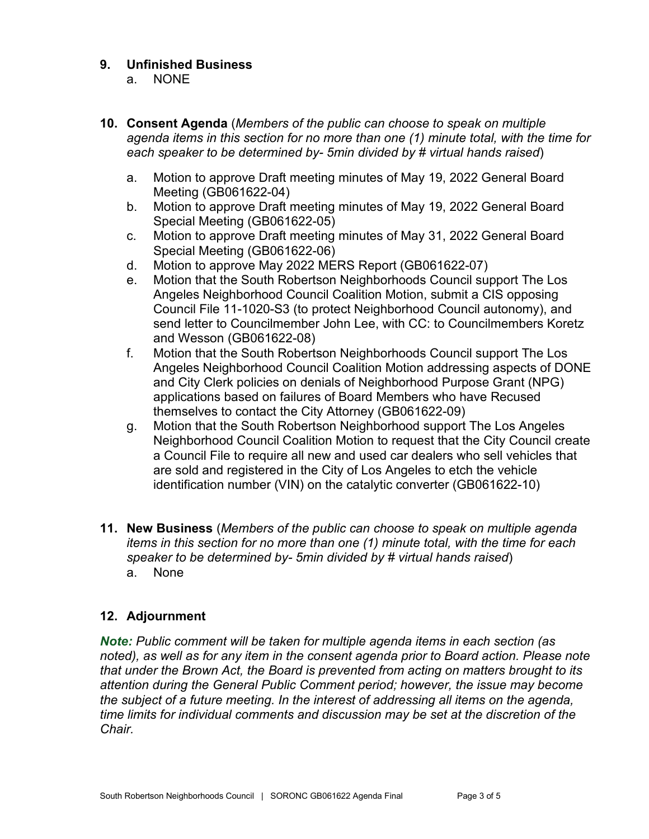## **9. Unfinished Business**

- a. NONE
- **10. Consent Agenda** (*Members of the public can choose to speak on multiple agenda items in this section for no more than one (1) minute total, with the time for each speaker to be determined by- 5min divided by # virtual hands raised*)
	- a. Motion to approve Draft meeting minutes of May 19, 2022 General Board Meeting (GB061622-04)
	- b. Motion to approve Draft meeting minutes of May 19, 2022 General Board Special Meeting (GB061622-05)
	- c. Motion to approve Draft meeting minutes of May 31, 2022 General Board Special Meeting (GB061622-06)
	- d. Motion to approve May 2022 MERS Report (GB061622-07)
	- e. Motion that the South Robertson Neighborhoods Council support The Los Angeles Neighborhood Council Coalition Motion, submit a CIS opposing Council File 11-1020-S3 (to protect Neighborhood Council autonomy), and send letter to Councilmember John Lee, with CC: to Councilmembers Koretz and Wesson (GB061622-08)
	- f. Motion that the South Robertson Neighborhoods Council support The Los Angeles Neighborhood Council Coalition Motion addressing aspects of DONE and City Clerk policies on denials of Neighborhood Purpose Grant (NPG) applications based on failures of Board Members who have Recused themselves to contact the City Attorney (GB061622-09)
	- g. Motion that the South Robertson Neighborhood support The Los Angeles Neighborhood Council Coalition Motion to request that the City Council create a Council File to require all new and used car dealers who sell vehicles that are sold and registered in the City of Los Angeles to etch the vehicle identification number (VIN) on the catalytic converter (GB061622-10)
- **11. New Business** (*Members of the public can choose to speak on multiple agenda items in this section for no more than one (1) minute total, with the time for each speaker to be determined by- 5min divided by # virtual hands raised*) a. None

## **12. Adjournment**

*Note: Public comment will be taken for multiple agenda items in each section (as noted), as well as for any item in the consent agenda prior to Board action. Please note that under the Brown Act, the Board is prevented from acting on matters brought to its attention during the General Public Comment period; however, the issue may become the subject of a future meeting. In the interest of addressing all items on the agenda, time limits for individual comments and discussion may be set at the discretion of the Chair.*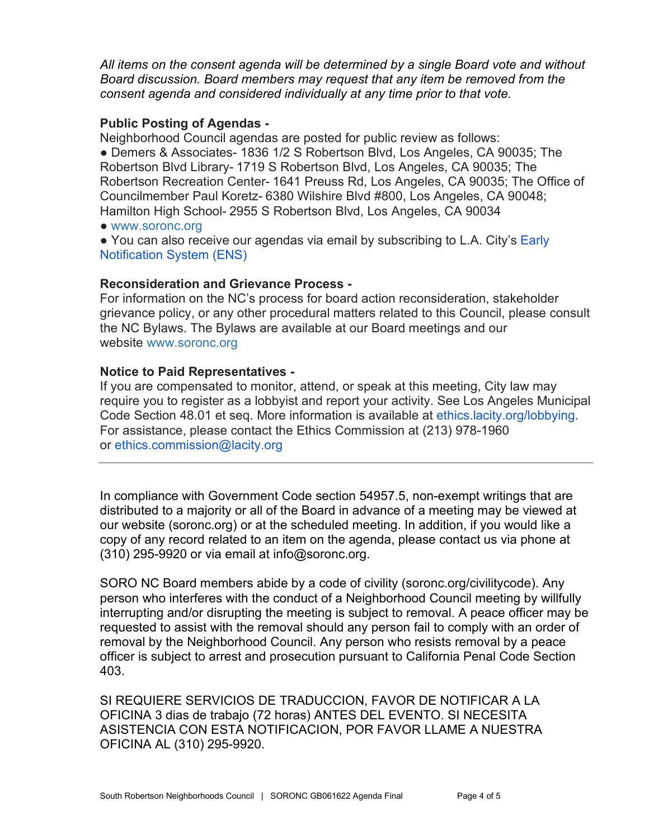*All items on the consent agenda will be determined by a single Board vote and without Board discussion. Board members may request that any item be removed from the consent agenda and considered individually at any time prior to that vote.*

#### **Public Posting of Agendas -**

Neighborhood Council agendas are posted for public review as follows: ● Demers & Associates- 1836 1/2 S Robertson Blvd, Los Angeles, CA 90035; The Robertson Blvd Library- 1719 S Robertson Blvd, Los Angeles, CA 90035; The Robertson Recreation Center- 1641 Preuss Rd, Los Angeles, CA 90035; The Office of Councilmember Paul Koretz- 6380 Wilshire Blvd #800, Los Angeles, CA 90048; Hamilton High School- 2955 S Robertson Blvd, Los Angeles, CA 90034

● [www.soronc.org](http://www.soronc.org/)

● You can also receive our agendas via email by subscribing to L.A. City's Early [Notification System \(ENS\)](https://www.lacity.org/government/subscribe-agendasnotifications/neighborhood-councils)

## **Reconsideration and Grievance Process -**

For information on the NC's process for board action reconsideration, stakeholder grievance policy, or any other procedural matters related to this Council, please consult the NC Bylaws. The Bylaws are available at our Board meetings and our website [www.soronc.org](http://www.soronc.org/)

## **Notice to Paid Representatives -**

If you are compensated to monitor, attend, or speak at this meeting, City law may require you to register as a lobbyist and report your activity. See Los Angeles Municipal Code Section 48.01 et seq. More information is available at [ethics.lacity.org/lobbying.](http://ethics.lacity.org/lobbying) For assistance, please contact the Ethics Commission at (213) 978-1960 or [ethics.commission@lacity.org](mailto:ethics.commission@lacity.org)

In compliance with Government Code section 54957.5, non-exempt writings that are distributed to a majority or all of the Board in advance of a meeting may be viewed at our website (soronc.org) or at the scheduled meeting. In addition, if you would like a copy of any record related to an item on the agenda, please contact us via phone at  $(310)$  295-9920 or via email at [info@soronc.org.](mailto:info@soronc.org)

SORO NC Board members abide by a code of civility (soronc.org/civilitycode). Any person who interferes with the conduct of a Neighborhood Council meeting by willfully interrupting and/or disrupting the meeting is subject to removal. A peace officer may be requested to assist with the removal should any person fail to comply with an order of removal by the Neighborhood Council. Any person who resists removal by a peace officer is subject to arrest and prosecution pursuant to California Penal Code Section 403.

SI REQUIERE SERVICIOS DE TRADUCCION, FAVOR DE NOTIFICAR A LA OFICINA 3 dias de trabajo (72 horas) ANTES DEL EVENTO. SI NECESITA ASISTENCIA CON ESTA NOTIFICACION, POR FAVOR LLAME A NUESTRA OFICINA AL (310) 295-9920.